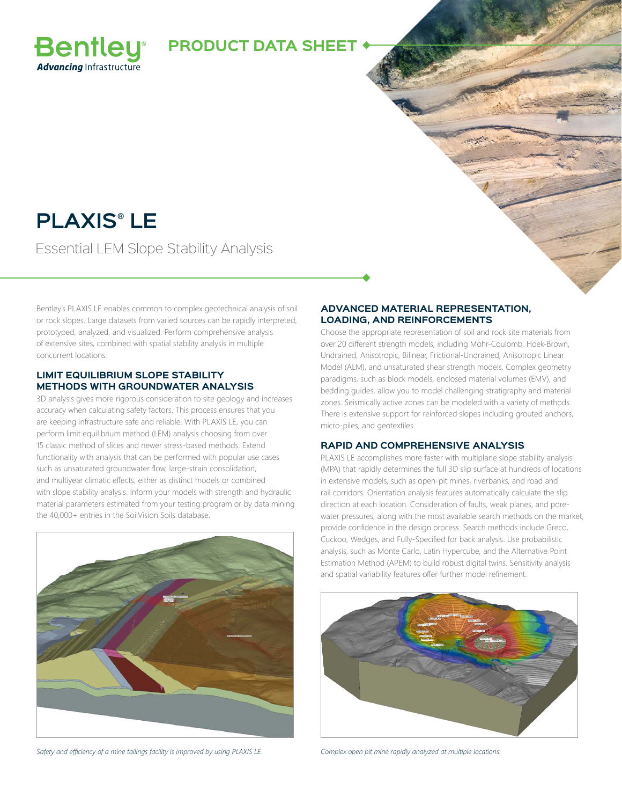

# **PLAXIS® LE**

**Bentley Advancing Infrastructure** 

Essential LEM Slope Stability Analysis

Bentley's PLAXIS LE enables common to complex geotechnical analysis of soil or rock slopes. Large datasets from varied sources can be rapidly interpreted, prototyped, analyzed, and visualized. Perform comprehensive analysis of extensive sites, combined with spatial stability analysis in multiple concurrent locations.

### **LIMIT EQUILIBRIUM SLOPE STABILITY METHODS WITH GROUNDWATER ANALYSIS**

3D analysis gives more rigorous consideration to site geology and increases accuracy when calculating safety factors. This process ensures that you are keeping infrastructure safe and reliable. With PLAXIS LE, you can perform limit equilibrium method (LEM) analysis choosing from over 15 classic method of slices and newer stress-based methods. Extend functionality with analysis that can be performed with popular use cases such as unsaturated groundwater flow, large-strain consolidation, and multiyear climatic effects, either as distinct models or combined with slope stability analysis. Inform your models with strength and hydraulic material parameters estimated from your testing program or by data mining the 40,000+ entries in the SoilVision Soils database.



*Safety and efficiency of a mine tailings facility is improved by using PLAXIS LE. Complex open pit mine rapidly analyzed at multiple locations.*

#### **ADVANCED MATERIAL REPRESENTATION, LOADING, AND REINFORCEMENTS**

Choose the appropriate representation of soil and rock site materials from over 20 different strength models, including Mohr-Coulomb, Hoek-Brown, Undrained, Anisotropic, Bilinear, Frictional-Undrained, Anisotropic Linear Model (ALM), and unsaturated shear strength models. Complex geometry paradigms, such as block models, enclosed material volumes (EMV), and bedding guides, allow you to model challenging stratigraphy and material zones. Seismically active zones can be modeled with a variety of methods. There is extensive support for reinforced slopes including grouted anchors, micro-piles, and geotextiles.

#### **RAPID AND COMPREHENSIVE ANALYSIS**

PLAXIS LE accomplishes more faster with multiplane slope stability analysis (MPA) that rapidly determines the full 3D slip surface at hundreds of locations in extensive models, such as open-pit mines, riverbanks, and road and rail corridors. Orientation analysis features automatically calculate the slip direction at each location. Consideration of faults, weak planes, and porewater pressures, along with the most available search methods on the market, provide confidence in the design process. Search methods include Greco, Cuckoo, Wedges, and Fully-Specified for back analysis. Use probabilistic analysis, such as Monte Carlo, Latin Hypercube, and the Alternative Point Estimation Method (APEM) to build robust digital twins. Sensitivity analysis and spatial variability features offer further model refinement.